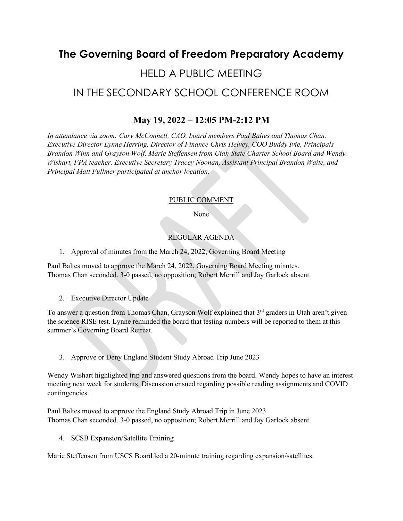# **The Governing Board of Freedom Preparatory Academy**

# HELD A PUBLIC MEETING IN THE SECONDARY SCHOOL CONFERENCE ROOM

## **May 19, 2022 – 12:05 PM-2:12 PM**

*In attendance via zoom: Cary McConnell, CAO, board members Paul Baltes and Thomas Chan, Executive Director Lynne Herring, Director of Finance Chris Helvey, COO Buddy Ivie, Principals Brandon Winn and Grayson Wolf, Marie Steffensen from Utah State Charter School Board and Wendy Wishart, FPA teacher. Executive Secretary Tracey Noonan, Assistant Principal Brandon Waite, and Principal Matt Fullmer participated at anchor location.*

#### PUBLIC COMMENT

None

### REGULAR AGENDA

1. Approval of minutes from the March 24, 2022, Governing Board Meeting

Paul Baltes moved to approve the March 24, 2022, Governing Board Meeting minutes. Thomas Chan seconded. 3-0 passed, no opposition; Robert Merrill and Jay Garlock absent.

2. Executive Director Update

To answer a question from Thomas Chan, Grayson Wolf explained that 3<sup>rd</sup> graders in Utah aren't given the science RISE test. Lynne reminded the board that testing numbers will be reported to them at this summer's Governing Board Retreat.

3. Approve or Deny England Student Study Abroad Trip June 2023

Wendy Wishart highlighted trip and answered questions from the board. Wendy hopes to have an interest meeting next week for students. Discussion ensued regarding possible reading assignments and COVID contingencies.

Paul Baltes moved to approve the England Study Abroad Trip in June 2023. Thomas Chan seconded. 3-0 passed, no opposition; Robert Merrill and Jay Garlock absent.

4. SCSB Expansion/Satellite Training

Marie Steffensen from USCS Board led a 20-minute training regarding expansion/satellites.